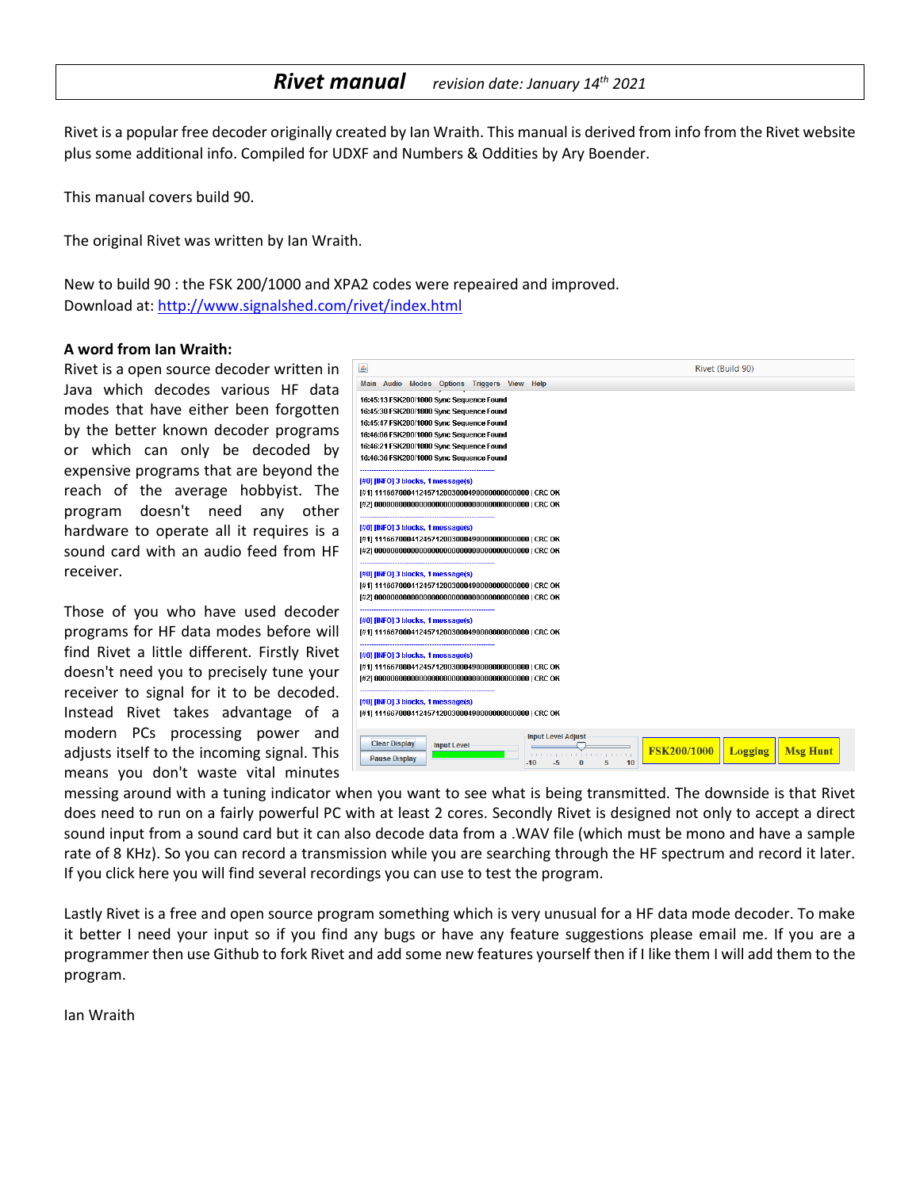### *Rivet manual revision date: January 14th <sup>2021</sup>*

Rivet is a popular free decoder originally created by Ian Wraith. This manual is derived from info from the Rivet website plus some additional info. Compiled for UDXF and Numbers & Oddities by Ary Boender.

This manual covers build 90.

The original Rivet was written by Ian Wraith.

New to build 90 : the FSK 200/1000 and XPA2 codes were repeaired and improved. Download at:<http://www.signalshed.com/rivet/index.html>

#### **A word from Ian Wraith:**

Rivet is a open source decoder written in Java which decodes various HF data modes that have either been forgotten by the better known decoder programs or which can only be decoded by expensive programs that are beyond the reach of the average hobbyist. The program doesn't need any other hardware to operate all it requires is a sound card with an audio feed from HF receiver.

Those of you who have used decoder programs for HF data modes before will find Rivet a little different. Firstly Rivet doesn't need you to precisely tune your receiver to signal for it to be decoded. Instead Rivet takes advantage of a modern PCs processing power and adjusts itself to the incoming signal. This means you don't waste vital minutes



messing around with a tuning indicator when you want to see what is being transmitted. The downside is that Rivet does need to run on a fairly powerful PC with at least 2 cores. Secondly Rivet is designed not only to accept a direct sound input from a sound card but it can also decode data from a .WAV file (which must be mono and have a sample rate of 8 KHz). So you can record a transmission while you are searching through the HF spectrum and record it later. If you click here you will find several recordings you can use to test the program.

Lastly Rivet is a free and open source program something which is very unusual for a HF data mode decoder. To make it better I need your input so if you find any bugs or have any feature suggestions please email me. If you are a programmer then use Github to fork Rivet and add some new features yourself then if I like them I will add them to the program.

Ian Wraith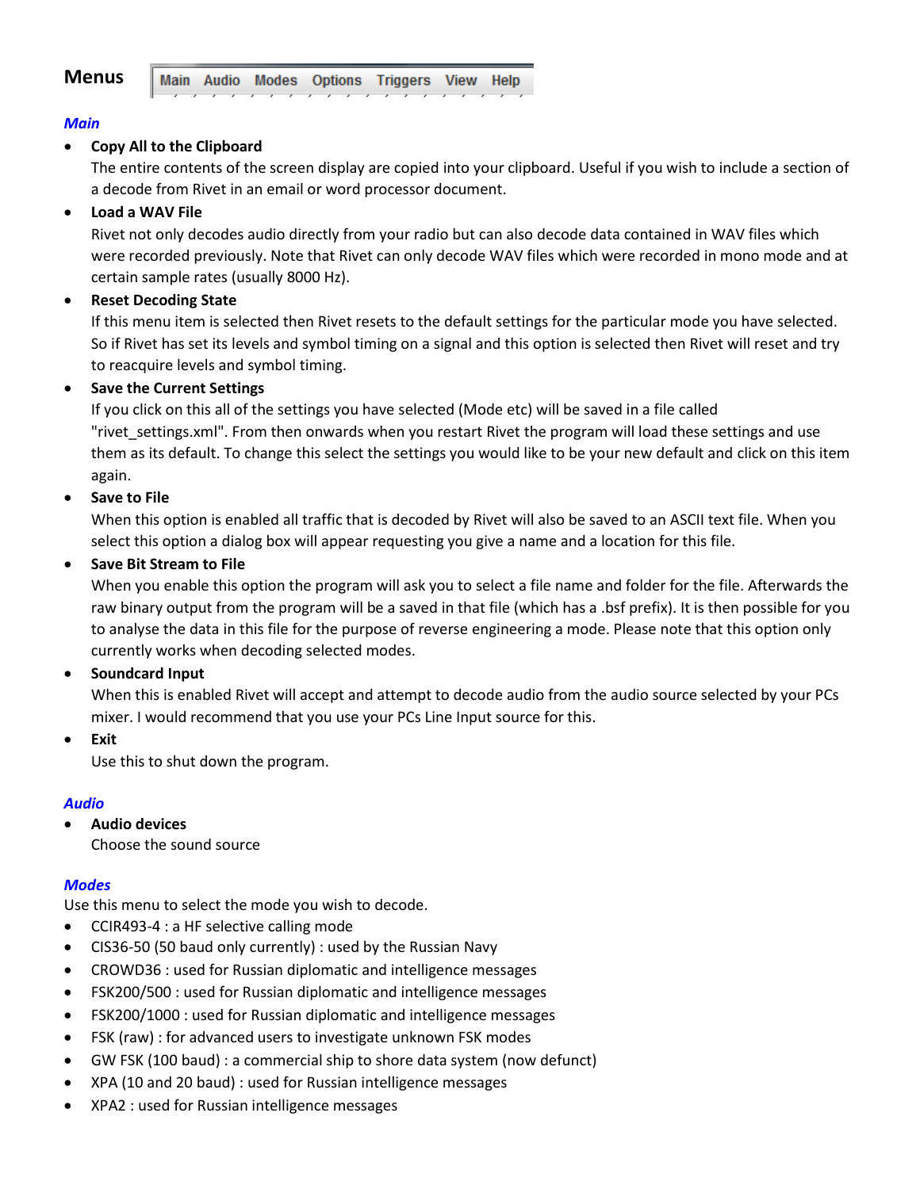

### *Main*

### **Copy All to the Clipboard**

The entire contents of the screen display are copied into your clipboard. Useful if you wish to include a section of a decode from Rivet in an email or word processor document.

### **Load a WAV File**

Rivet not only decodes audio directly from your radio but can also decode data contained in WAV files which were recorded previously. Note that Rivet can only decode WAV files which were recorded in mono mode and at certain sample rates (usually 8000 Hz).

### **Reset Decoding State**

If this menu item is selected then Rivet resets to the default settings for the particular mode you have selected. So if Rivet has set its levels and symbol timing on a signal and this option is selected then Rivet will reset and try to reacquire levels and symbol timing.

### **•** Save the Current Settings

If you click on this all of the settings you have selected (Mode etc) will be saved in a file called "rivet settings.xml". From then onwards when you restart Rivet the program will load these settings and use them as its default. To change this select the settings you would like to be your new default and click on this item again.

### **Save to File**

When this option is enabled all traffic that is decoded by Rivet will also be saved to an ASCII text file. When you select this option a dialog box will appear requesting you give a name and a location for this file.

### **Save Bit Stream to File**

When you enable this option the program will ask you to select a file name and folder for the file. Afterwards the raw binary output from the program will be a saved in that file (which has a .bsf prefix). It is then possible for you to analyse the data in this file for the purpose of reverse engineering a mode. Please note that this option only currently works when decoding selected modes.

### **•** Soundcard Input

When this is enabled Rivet will accept and attempt to decode audio from the audio source selected by your PCs mixer. I would recommend that you use your PCs Line Input source for this.

**Exit**

Use this to shut down the program.

### *Audio*

**Audio devices**

Choose the sound source

### *Modes*

Use this menu to select the mode you wish to decode.

- CCIR493-4 : a HF selective calling mode
- CIS36-50 (50 baud only currently) : used by the Russian Navy
- CROWD36 : used for Russian diplomatic and intelligence messages
- FSK200/500 : used for Russian diplomatic and intelligence messages
- FSK200/1000 : used for Russian diplomatic and intelligence messages
- FSK (raw) : for advanced users to investigate unknown FSK modes
- GW FSK (100 baud) : a commercial ship to shore data system (now defunct)
- XPA (10 and 20 baud) : used for Russian intelligence messages
- XPA2 : used for Russian intelligence messages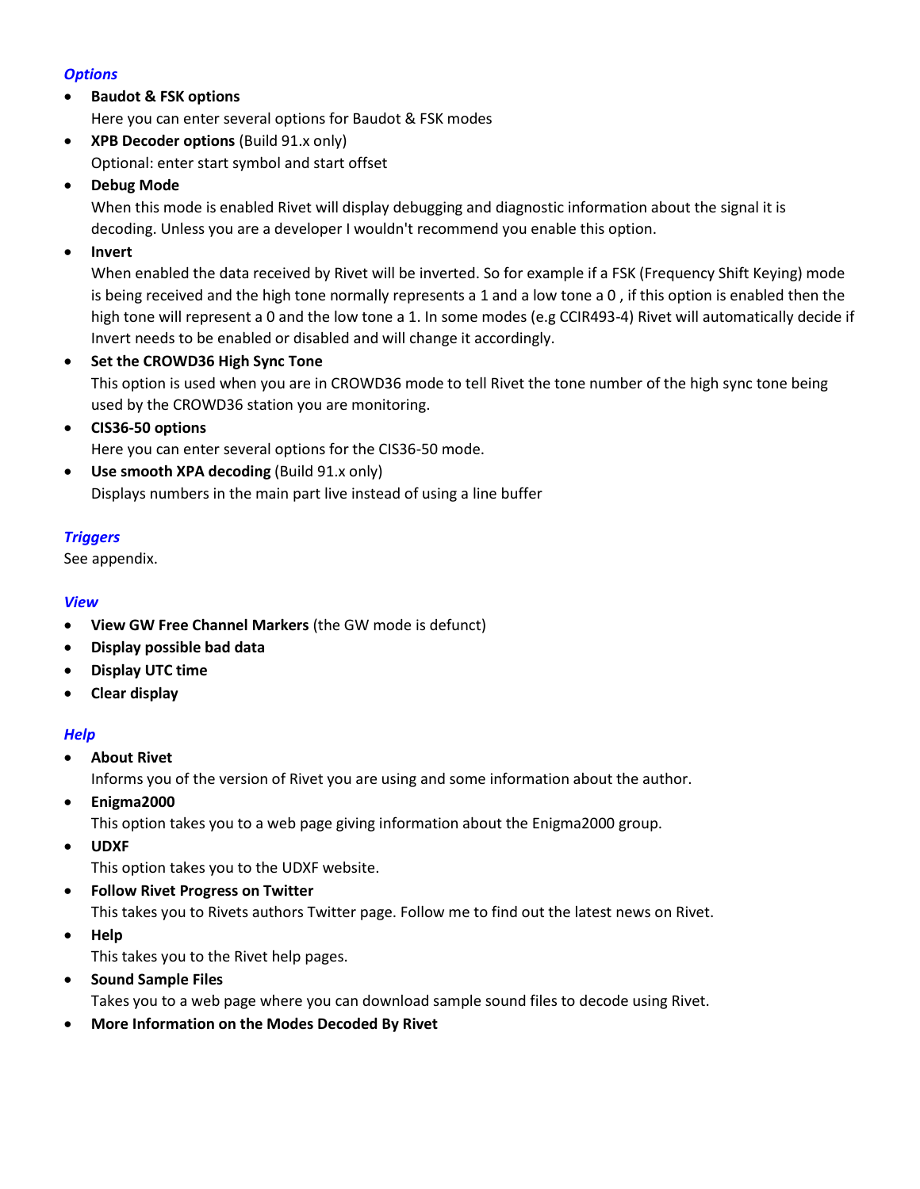### *Options*

## **Baudot & FSK options**

Here you can enter several options for Baudot & FSK modes

 **XPB Decoder options** (Build 91.x only) Optional: enter start symbol and start offset

## **Debug Mode**

When this mode is enabled Rivet will display debugging and diagnostic information about the signal it is decoding. Unless you are a developer I wouldn't recommend you enable this option.

## **Invert**

When enabled the data received by Rivet will be inverted. So for example if a FSK (Frequency Shift Keying) mode is being received and the high tone normally represents a 1 and a low tone a 0 , if this option is enabled then the high tone will represent a 0 and the low tone a 1. In some modes (e.g CCIR493-4) Rivet will automatically decide if Invert needs to be enabled or disabled and will change it accordingly.

### **•** Set the CROWD36 High Sync Tone

This option is used when you are in CROWD36 mode to tell Rivet the tone number of the high sync tone being used by the CROWD36 station you are monitoring.

## **CIS36-50 options**

Here you can enter several options for the CIS36-50 mode.

**• Use smooth XPA decoding (Build 91.x only)** Displays numbers in the main part live instead of using a line buffer

### *Triggers*

See appendix.

### *View*

- **View GW Free Channel Markers** (the GW mode is defunct)
- **Display possible bad data**
- **Display UTC time**
- **Clear display**

### *Help*

**About Rivet**

Informs you of the version of Rivet you are using and some information about the author.

**Enigma2000**

This option takes you to a web page giving information about the Enigma2000 group.

**UDXF**

This option takes you to the UDXF website.

**Follow Rivet Progress on Twitter**

This takes you to Rivets authors Twitter page. Follow me to find out the latest news on Rivet.

**Help**

This takes you to the Rivet help pages.

**•** Sound Sample Files

Takes you to a web page where you can download sample sound files to decode using Rivet.

**More Information on the Modes Decoded By Rivet**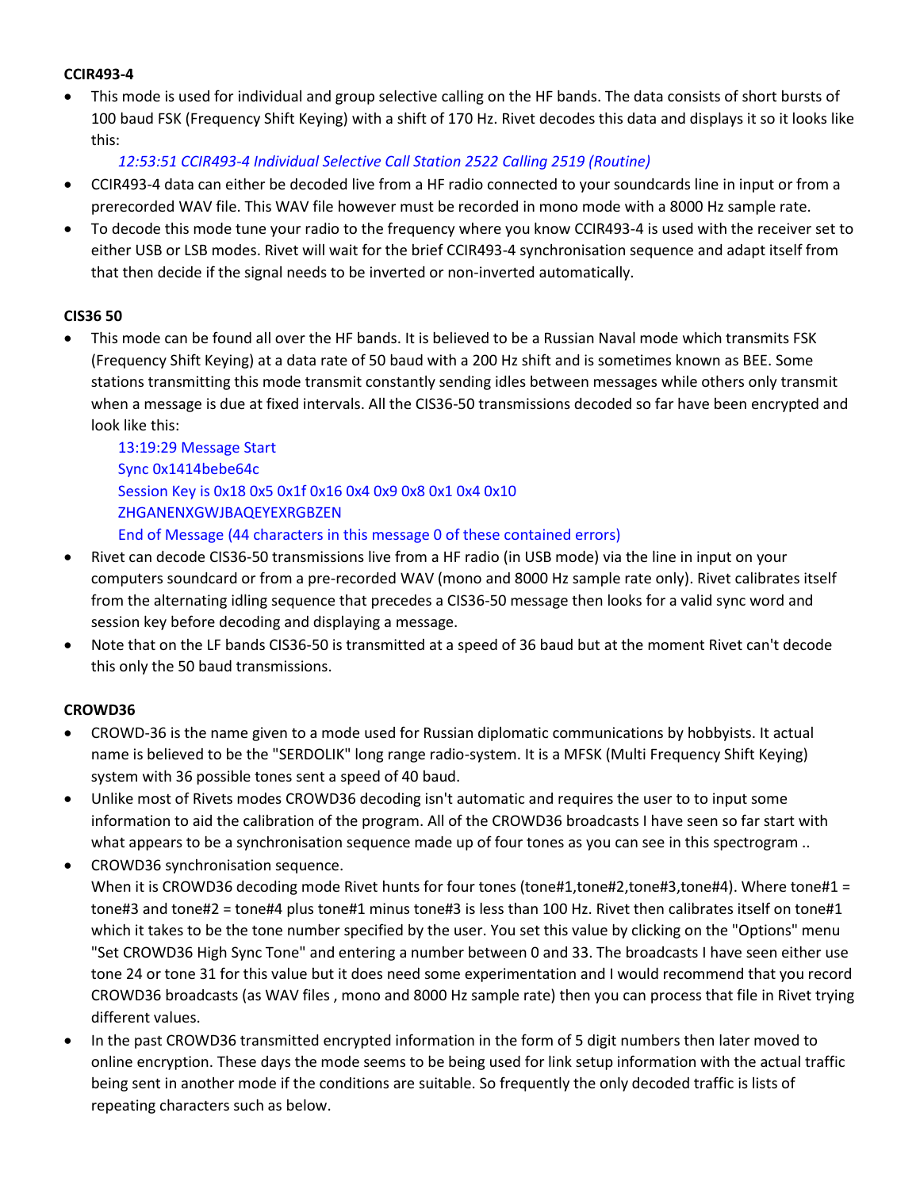### **CCIR493-4**

 This mode is used for individual and group selective calling on the HF bands. The data consists of short bursts of 100 baud FSK (Frequency Shift Keying) with a shift of 170 Hz. Rivet decodes this data and displays it so it looks like this:

*12:53:51 CCIR493-4 Individual Selective Call Station 2522 Calling 2519 (Routine)*

- CCIR493-4 data can either be decoded live from a HF radio connected to your soundcards line in input or from a prerecorded WAV file. This WAV file however must be recorded in mono mode with a 8000 Hz sample rate.
- To decode this mode tune your radio to the frequency where you know CCIR493-4 is used with the receiver set to either USB or LSB modes. Rivet will wait for the brief CCIR493-4 synchronisation sequence and adapt itself from that then decide if the signal needs to be inverted or non-inverted automatically.

### **CIS36 50**

 This mode can be found all over the HF bands. It is believed to be a Russian Naval mode which transmits FSK (Frequency Shift Keying) at a data rate of 50 baud with a 200 Hz shift and is sometimes known as BEE. Some stations transmitting this mode transmit constantly sending idles between messages while others only transmit when a message is due at fixed intervals. All the CIS36-50 transmissions decoded so far have been encrypted and look like this:

13:19:29 Message Start Sync 0x1414bebe64c Session Key is 0x18 0x5 0x1f 0x16 0x4 0x9 0x8 0x1 0x4 0x10 ZHGANENXGWJBAQEYEXRGBZEN End of Message (44 characters in this message 0 of these contained errors)

- Rivet can decode CIS36-50 transmissions live from a HF radio (in USB mode) via the line in input on your computers soundcard or from a pre-recorded WAV (mono and 8000 Hz sample rate only). Rivet calibrates itself from the alternating idling sequence that precedes a CIS36-50 message then looks for a valid sync word and session key before decoding and displaying a message.
- Note that on the LF bands CIS36-50 is transmitted at a speed of 36 baud but at the moment Rivet can't decode this only the 50 baud transmissions.

### **CROWD36**

- CROWD-36 is the name given to a mode used for Russian diplomatic communications by hobbyists. It actual name is believed to be the "SERDOLIK" long range radio-system. It is a MFSK (Multi Frequency Shift Keying) system with 36 possible tones sent a speed of 40 baud.
- Unlike most of Rivets modes CROWD36 decoding isn't automatic and requires the user to to input some information to aid the calibration of the program. All of the CROWD36 broadcasts I have seen so far start with what appears to be a synchronisation sequence made up of four tones as you can see in this spectrogram ..
- CROWD36 synchronisation sequence. When it is CROWD36 decoding mode Rivet hunts for four tones (tone#1,tone#2,tone#3,tone#4). Where tone#1 = tone#3 and tone#2 = tone#4 plus tone#1 minus tone#3 is less than 100 Hz. Rivet then calibrates itself on tone#1 which it takes to be the tone number specified by the user. You set this value by clicking on the "Options" menu "Set CROWD36 High Sync Tone" and entering a number between 0 and 33. The broadcasts I have seen either use tone 24 or tone 31 for this value but it does need some experimentation and I would recommend that you record CROWD36 broadcasts (as WAV files , mono and 8000 Hz sample rate) then you can process that file in Rivet trying different values.
- In the past CROWD36 transmitted encrypted information in the form of 5 digit numbers then later moved to online encryption. These days the mode seems to be being used for link setup information with the actual traffic being sent in another mode if the conditions are suitable. So frequently the only decoded traffic is lists of repeating characters such as below.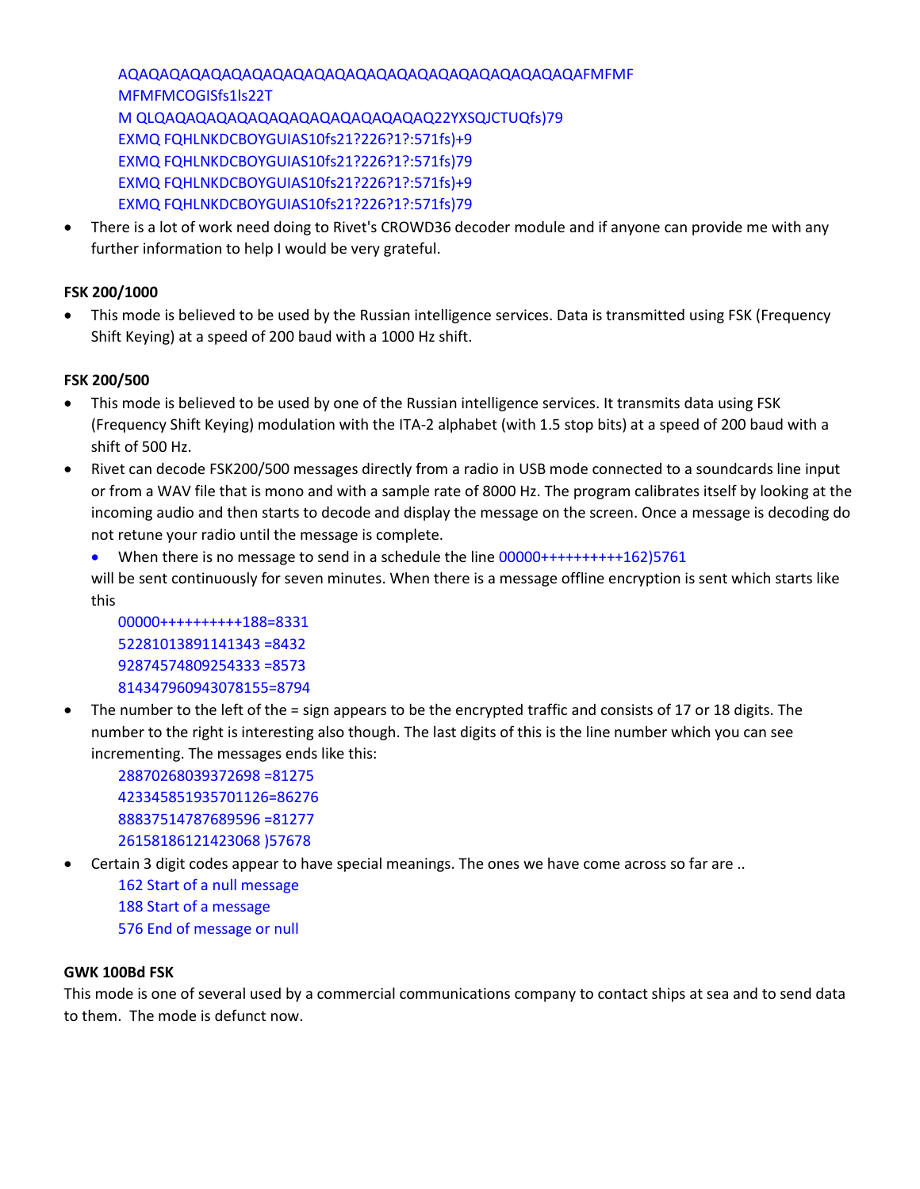AQAQAQAQAQAQAQAQAQAQAQAQAQAQAQAQAQAQAQAQAQAQAFMFMF MFMFMCOGISfs1ls22T M QLQAQAQAQAQAQAQAQAQAQAQAQAQAQ22YXSQJCTUQfs)79 EXMQ FQHLNKDCBOYGUIAS10fs21?226?1?:571fs)+9 EXMQ FQHLNKDCBOYGUIAS10fs21?226?1?:571fs)79 EXMQ FQHLNKDCBOYGUIAS10fs21?226?1?:571fs)+9 EXMQ FQHLNKDCBOYGUIAS10fs21?226?1?:571fs)79

 There is a lot of work need doing to Rivet's CROWD36 decoder module and if anyone can provide me with any further information to help I would be very grateful.

### **FSK 200/1000**

 This mode is believed to be used by the Russian intelligence services. Data is transmitted using FSK (Frequency Shift Keying) at a speed of 200 baud with a 1000 Hz shift.

### **FSK 200/500**

- This mode is believed to be used by one of the Russian intelligence services. It transmits data using FSK (Frequency Shift Keying) modulation with the ITA-2 alphabet (with 1.5 stop bits) at a speed of 200 baud with a shift of 500 Hz.
- Rivet can decode FSK200/500 messages directly from a radio in USB mode connected to a soundcards line input or from a WAV file that is mono and with a sample rate of 8000 Hz. The program calibrates itself by looking at the incoming audio and then starts to decode and display the message on the screen. Once a message is decoding do not retune your radio until the message is complete.
	- When there is no message to send in a schedule the line 00000+++++++++++162)5761

will be sent continuously for seven minutes. When there is a message offline encryption is sent which starts like this

00000++++++++++188=8331 52281013891141343 =8432 92874574809254333 =8573 814347960943078155=8794

 The number to the left of the = sign appears to be the encrypted traffic and consists of 17 or 18 digits. The number to the right is interesting also though. The last digits of this is the line number which you can see incrementing. The messages ends like this:

28870268039372698 =81275 423345851935701126=86276 88837514787689596 =81277 26158186121423068 )57678

Certain 3 digit codes appear to have special meanings. The ones we have come across so far are ..

162 Start of a null message 188 Start of a message 576 End of message or null

#### **GWK 100Bd FSK**

This mode is one of several used by a commercial communications company to contact ships at sea and to send data to them. The mode is defunct now.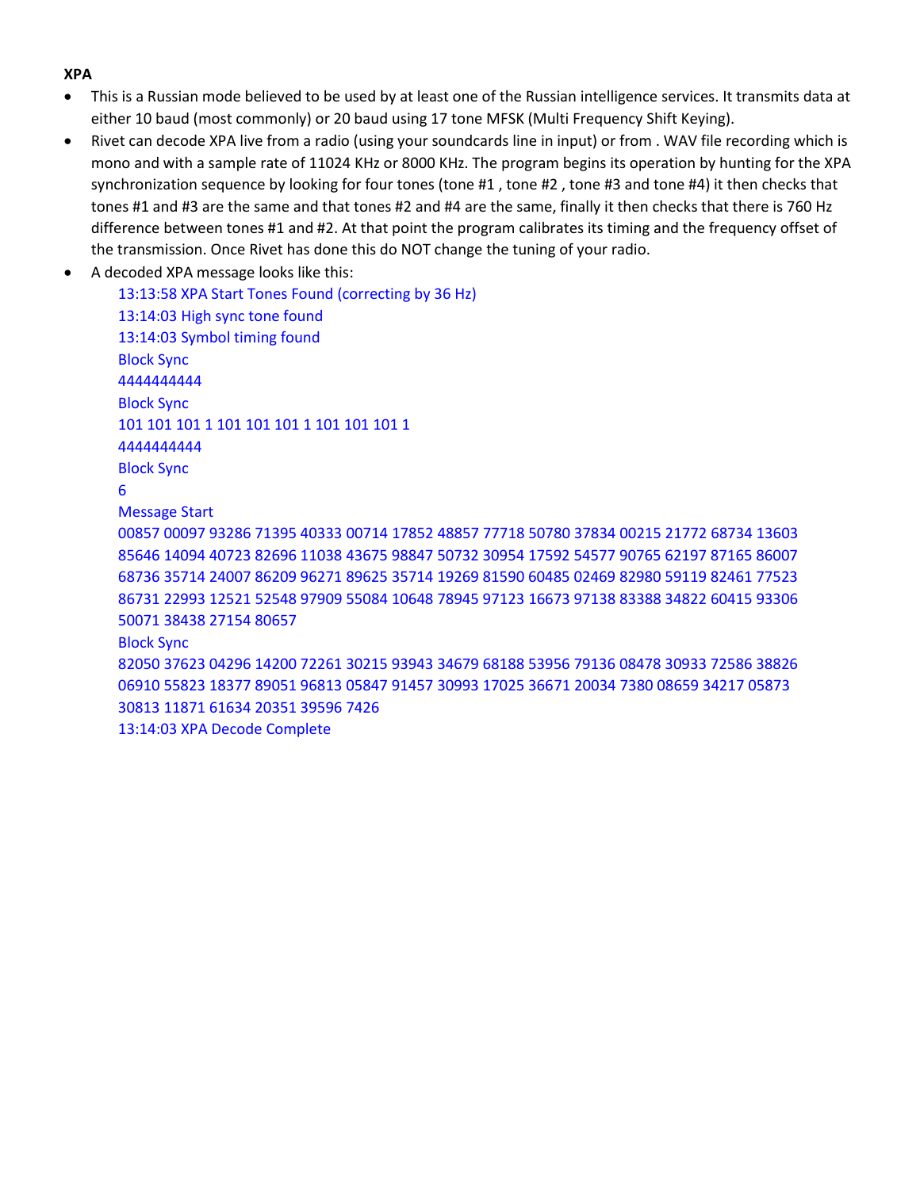### **XPA**

- This is a Russian mode believed to be used by at least one of the Russian intelligence services. It transmits data at either 10 baud (most commonly) or 20 baud using 17 tone MFSK (Multi Frequency Shift Keying).
- Rivet can decode XPA live from a radio (using your soundcards line in input) or from . WAV file recording which is mono and with a sample rate of 11024 KHz or 8000 KHz. The program begins its operation by hunting for the XPA synchronization sequence by looking for four tones (tone #1 , tone #2 , tone #3 and tone #4) it then checks that tones #1 and #3 are the same and that tones #2 and #4 are the same, finally it then checks that there is 760 Hz difference between tones #1 and #2. At that point the program calibrates its timing and the frequency offset of the transmission. Once Rivet has done this do NOT change the tuning of your radio.
- A decoded XPA message looks like this:

13:13:58 XPA Start Tones Found (correcting by 36 Hz) 13:14:03 High sync tone found 13:14:03 Symbol timing found Block Sync 4444444444 Block Sync 101 101 101 101 101 101 101 101 101 1 4444444444 Block Sync 6 Message Start 00857 00097 93286 71395 40333 00714 17852 48857 77718 50780 37834 00215 21772 68734 13603 85646 14094 40723 82696 11038 43675 98847 50732 30954 17592 54577 90765 62197 87165 86007 68736 35714 24007 86209 96271 89625 35714 19269 81590 60485 02469 82980 59119 82461 77523 86731 22993 12521 52548 97909 55084 10648 78945 97123 16673 97138 83388 34822 60415 93306 50071 38438 27154 80657 Block Sync 82050 37623 04296 14200 72261 30215 93943 34679 68188 53956 79136 08478 30933 72586 38826 06910 55823 18377 89051 96813 05847 91457 30993 17025 36671 20034 7380 08659 34217 05873 30813 11871 61634 20351 39596 7426 13:14:03 XPA Decode Complete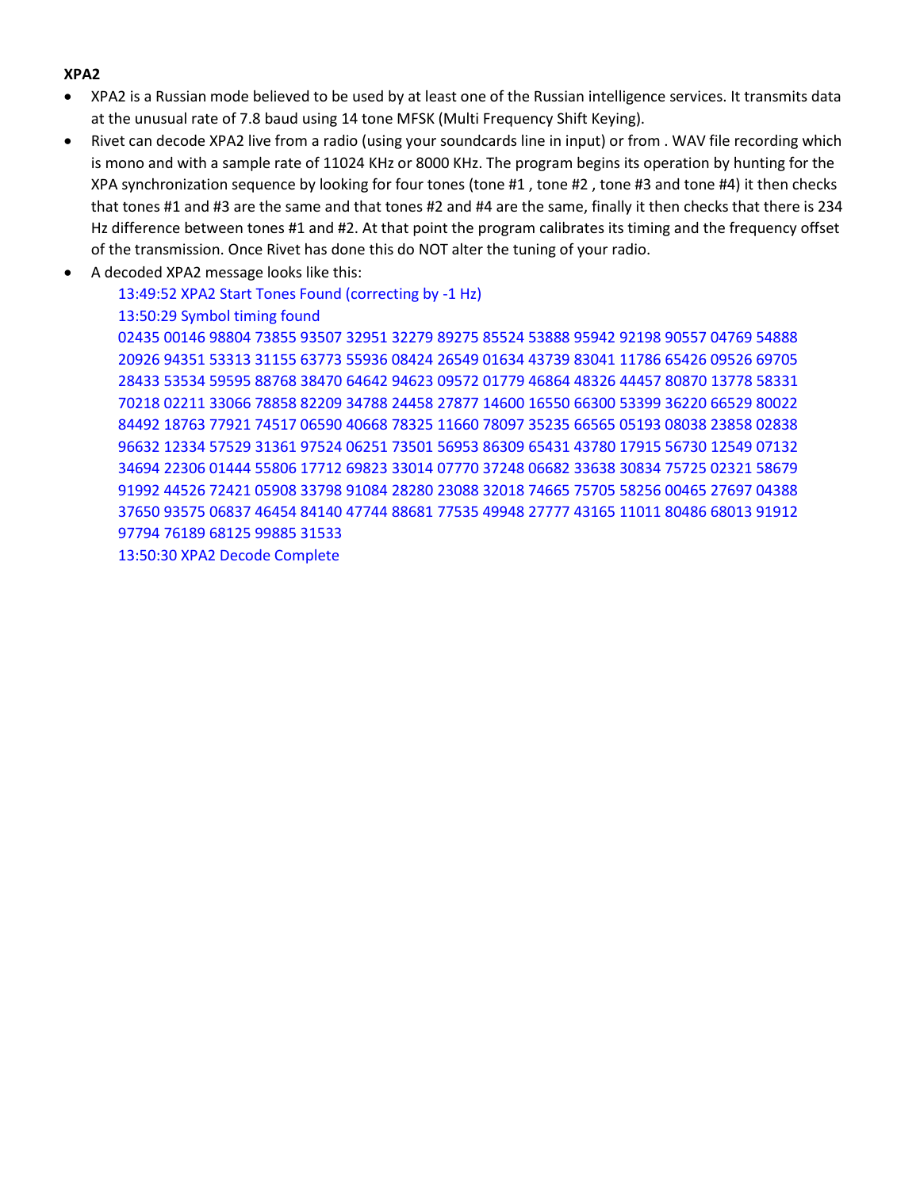### **XPA2**

- XPA2 is a Russian mode believed to be used by at least one of the Russian intelligence services. It transmits data at the unusual rate of 7.8 baud using 14 tone MFSK (Multi Frequency Shift Keying).
- Rivet can decode XPA2 live from a radio (using your soundcards line in input) or from . WAV file recording which is mono and with a sample rate of 11024 KHz or 8000 KHz. The program begins its operation by hunting for the XPA synchronization sequence by looking for four tones (tone #1 , tone #2 , tone #3 and tone #4) it then checks that tones #1 and #3 are the same and that tones #2 and #4 are the same, finally it then checks that there is 234 Hz difference between tones #1 and #2. At that point the program calibrates its timing and the frequency offset of the transmission. Once Rivet has done this do NOT alter the tuning of your radio.
- A decoded XPA2 message looks like this:

13:49:52 XPA2 Start Tones Found (correcting by -1 Hz) 13:50:29 Symbol timing found 02435 00146 98804 73855 93507 32951 32279 89275 85524 53888 95942 92198 90557 04769 54888 20926 94351 53313 31155 63773 55936 08424 26549 01634 43739 83041 11786 65426 09526 69705 28433 53534 59595 88768 38470 64642 94623 09572 01779 46864 48326 44457 80870 13778 58331 70218 02211 33066 78858 82209 34788 24458 27877 14600 16550 66300 53399 36220 66529 80022 84492 18763 77921 74517 06590 40668 78325 11660 78097 35235 66565 05193 08038 23858 02838 96632 12334 57529 31361 97524 06251 73501 56953 86309 65431 43780 17915 56730 12549 07132 34694 22306 01444 55806 17712 69823 33014 07770 37248 06682 33638 30834 75725 02321 58679 91992 44526 72421 05908 33798 91084 28280 23088 32018 74665 75705 58256 00465 27697 04388 37650 93575 06837 46454 84140 47744 88681 77535 49948 27777 43165 11011 80486 68013 91912 97794 76189 68125 99885 31533 13:50:30 XPA2 Decode Complete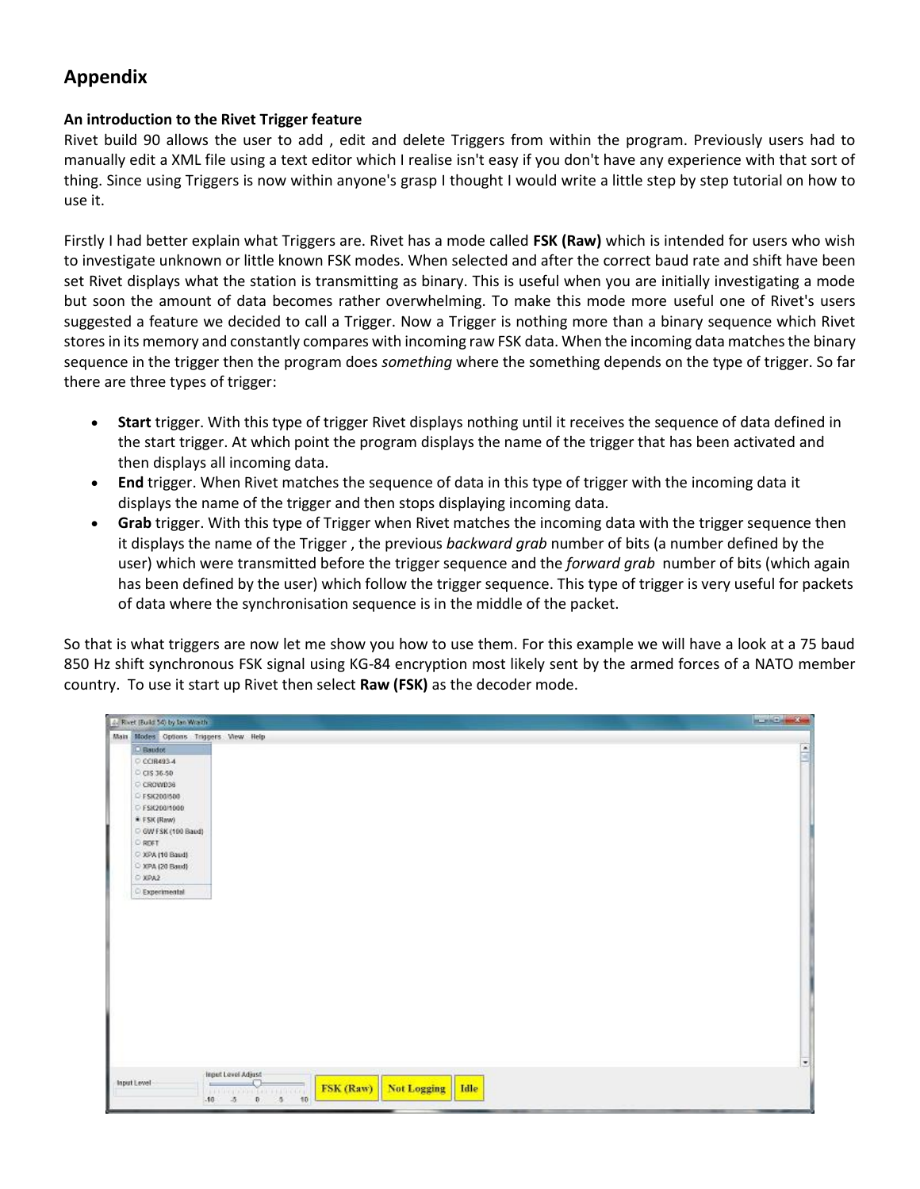# **Appendix**

### **An introduction to the Rivet Trigger feature**

Rivet build 90 allows the user to add , edit and delete Triggers from within the program. Previously users had to manually edit a XML file using a text editor which I realise isn't easy if you don't have any experience with that sort of thing. Since using Triggers is now within anyone's grasp I thought I would write a little step by step tutorial on how to use it.

Firstly I had better explain what Triggers are. Rivet has a mode called **FSK (Raw)** which is intended for users who wish to investigate unknown or little known FSK modes. When selected and after the correct baud rate and shift have been set Rivet displays what the station is transmitting as binary. This is useful when you are initially investigating a mode but soon the amount of data becomes rather overwhelming. To make this mode more useful one of Rivet's users suggested a feature we decided to call a Trigger. Now a Trigger is nothing more than a binary sequence which Rivet stores in its memory and constantly compares with incoming raw FSK data. When the incoming data matches the binary sequence in the trigger then the program does *something* where the something depends on the type of trigger. So far there are three types of trigger:

- **Start** trigger. With this type of trigger Rivet displays nothing until it receives the sequence of data defined in the start trigger. At which point the program displays the name of the trigger that has been activated and then displays all incoming data.
- **End** trigger. When Rivet matches the sequence of data in this type of trigger with the incoming data it displays the name of the trigger and then stops displaying incoming data.
- **Grab** trigger. With this type of Trigger when Rivet matches the incoming data with the trigger sequence then it displays the name of the Trigger , the previous *backward grab* number of bits (a number defined by the user) which were transmitted before the trigger sequence and the *forward grab* number of bits (which again has been defined by the user) which follow the trigger sequence. This type of trigger is very useful for packets of data where the synchronisation sequence is in the middle of the packet.

So that is what triggers are now let me show you how to use them. For this example we will have a look at a 75 baud 850 Hz shift synchronous FSK signal using KG-84 encryption most likely sent by the armed forces of a NATO member country. To use it start up Rivet then select **Raw (FSK)** as the decoder mode.

| 2. Rivet (Build 54) by fan Wrazh |                                                                                                                            | <b>ALL CARS</b>          |
|----------------------------------|----------------------------------------------------------------------------------------------------------------------------|--------------------------|
|                                  | Main Modes Options Triggers View Help                                                                                      |                          |
| D Baudot                         |                                                                                                                            | F                        |
| C CCIR493-4                      |                                                                                                                            |                          |
| C CIS 36-50                      |                                                                                                                            |                          |
| C CROWD38                        |                                                                                                                            |                          |
| C FSIC200/500                    |                                                                                                                            |                          |
| C FSK200/1000                    |                                                                                                                            |                          |
| * FSK (Raw)                      |                                                                                                                            |                          |
| C GW FSK (100 Baud)              |                                                                                                                            |                          |
| ORO                              |                                                                                                                            |                          |
| C XPA (10 Baud)                  |                                                                                                                            |                          |
| C XPA (20 Baud)                  |                                                                                                                            |                          |
| O XPA2                           |                                                                                                                            |                          |
| C Experimental                   |                                                                                                                            |                          |
|                                  |                                                                                                                            |                          |
|                                  | Input Level Adjust                                                                                                         | $\overline{\phantom{a}}$ |
| Input Level                      | $=$<br>FSK (Raw)<br><b>Not Logging</b><br>Idle<br><b>ALL RELATIVE EXT. PER ROOM</b><br>10<br>$\theta$<br>$-5$<br>$-10 - 5$ |                          |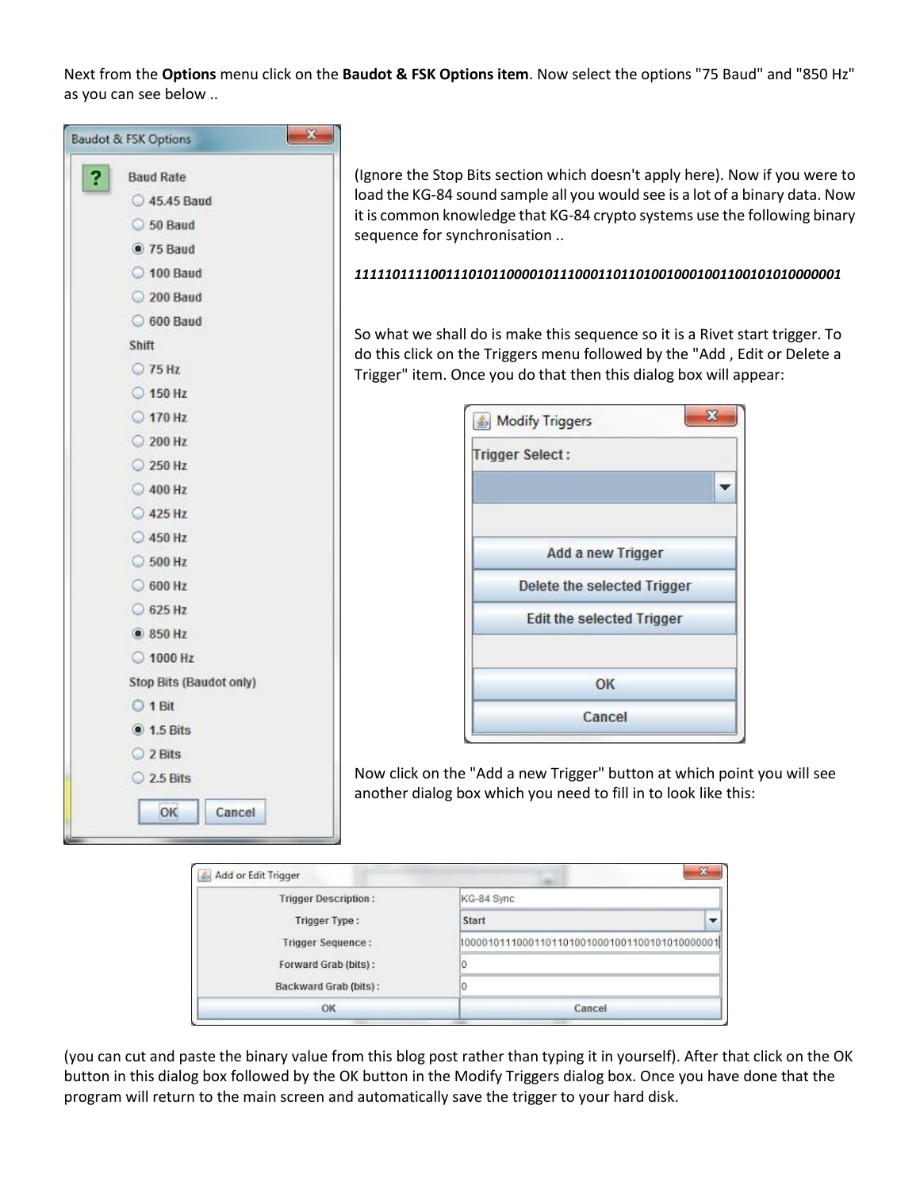Next from the **Options** menu click on the **Baudot & FSK Options item**. Now select the options "75 Baud" and "850 Hz" as you can see below ..



(Ignore the Stop Bits section which doesn't apply here). Now if you were to load the KG-84 sound sample all you would see is a lot of a binary data. Now it is common knowledge that KG-84 crypto systems use the following binary sequence for synchronisation ..

#### *1111101111001110101100001011100011011010010001001100101010000001*

So what we shall do is make this sequence so it is a Rivet start trigger. To do this click on the Triggers menu followed by the "Add , Edit or Delete a Trigger" item. Once you do that then this dialog box will appear:

| <b>Trigger Select:</b> |                                  |
|------------------------|----------------------------------|
|                        |                                  |
|                        | Add a new Trigger                |
|                        | Delete the selected Trigger      |
|                        | <b>Edit the selected Trigger</b> |
|                        | OK                               |
|                        |                                  |

Now click on the "Add a new Trigger" button at which point you will see another dialog box which you need to fill in to look like this:

| Add or Edit Trigger         | $\overline{\mathbf{x}}$ |
|-----------------------------|-------------------------|
| <b>Trigger Description:</b> | KG-84 Sync              |
| Trigger Type:               | Start                   |
| <b>Trigger Sequence:</b>    |                         |
| Forward Grab (bits):        |                         |
| Backward Grab (bits):       |                         |
| OK                          | Cancel                  |
|                             |                         |

(you can cut and paste the binary value from this blog post rather than typing it in yourself). After that click on the OK button in this dialog box followed by the OK button in the Modify Triggers dialog box. Once you have done that the program will return to the main screen and automatically save the trigger to your hard disk.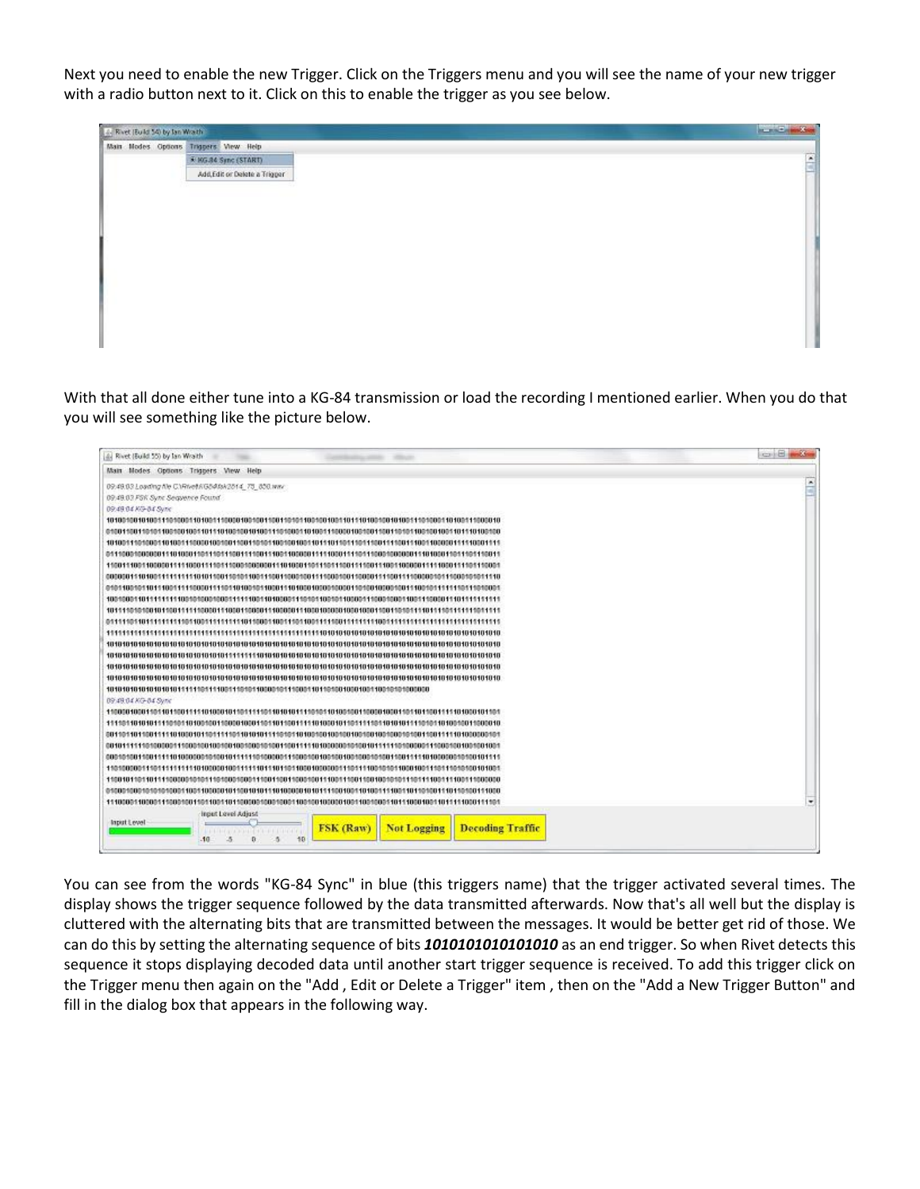Next you need to enable the new Trigger. Click on the Triggers menu and you will see the name of your new trigger with a radio button next to it. Click on this to enable the trigger as you see below.

With that all done either tune into a KG-84 transmission or load the recording I mentioned earlier. When you do that you will see something like the picture below.

| A. Rivet (Build 55) by lan Wrath                                  | CONTROLL BELLEVILLE      |
|-------------------------------------------------------------------|--------------------------|
| Main Modes Options Triggers View Help                             |                          |
| 09:49:03 Loading file C.\Rivel\RG54fak2514_75_850.wwv             | $\overline{\phantom{a}}$ |
| 09:49:03 FSK Sync Sequence Found                                  | w                        |
| 09:49:04 KG-04 Sytte                                              |                          |
|                                                                   |                          |
|                                                                   |                          |
|                                                                   |                          |
|                                                                   |                          |
|                                                                   |                          |
|                                                                   |                          |
|                                                                   |                          |
|                                                                   |                          |
|                                                                   |                          |
|                                                                   |                          |
|                                                                   |                          |
|                                                                   |                          |
|                                                                   |                          |
|                                                                   |                          |
|                                                                   |                          |
| 09:49:04:KG-04:Syric                                              |                          |
|                                                                   |                          |
|                                                                   |                          |
|                                                                   |                          |
|                                                                   |                          |
|                                                                   |                          |
|                                                                   |                          |
|                                                                   |                          |
|                                                                   |                          |
|                                                                   | ۰                        |
| Input Level Adjust<br>Input Level                                 |                          |
| <b>FSK</b> (Raw)<br><b>Not Logging</b><br><b>Decoding Traffic</b> |                          |
| 50<br>$-10$                                                       |                          |
|                                                                   |                          |

You can see from the words "KG-84 Sync" in blue (this triggers name) that the trigger activated several times. The display shows the trigger sequence followed by the data transmitted afterwards. Now that's all well but the display is cluttered with the alternating bits that are transmitted between the messages. It would be better get rid of those. We can do this by setting the alternating sequence of bits *1010101010101010* as an end trigger. So when Rivet detects this sequence it stops displaying decoded data until another start trigger sequence is received. To add this trigger click on the Trigger menu then again on the "Add , Edit or Delete a Trigger" item , then on the "Add a New Trigger Button" and fill in the dialog box that appears in the following way.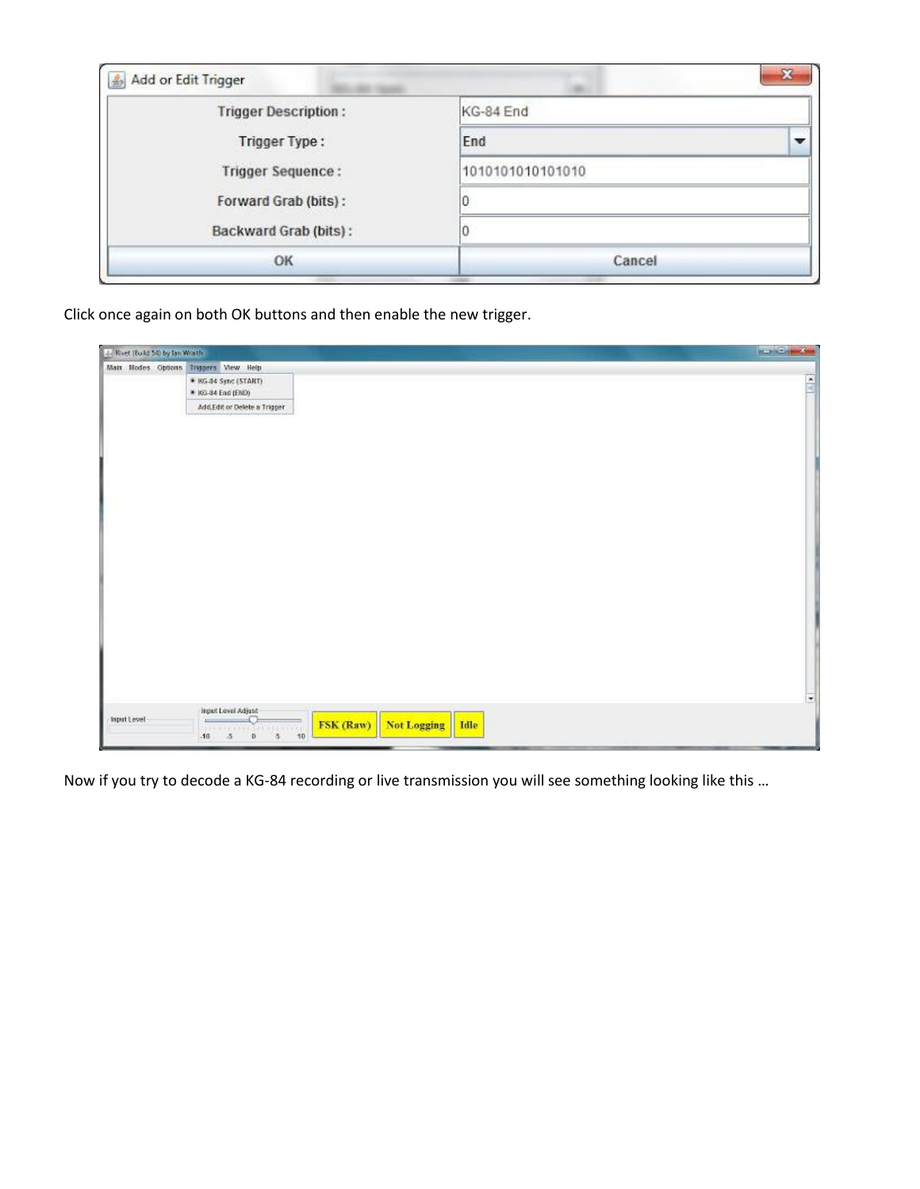| Add or Edit Trigger<br>$\mathbb{E}$ | x                |
|-------------------------------------|------------------|
| <b>Trigger Description:</b>         | KG-84 End        |
| <b>Trigger Type:</b>                | End              |
| <b>Trigger Sequence:</b>            | 1010101010101010 |
| Forward Grab (bits):                |                  |
| Backward Grab (bits):               |                  |
| OK                                  | Cancel           |

Click once again on both OK buttons and then enable the new trigger.

| 4. Rivet (Build 54) by fan Wrazh      |                                                                                                                                     | <b>Service Lands</b>     |
|---------------------------------------|-------------------------------------------------------------------------------------------------------------------------------------|--------------------------|
| Main Modes Options Triggers View Help |                                                                                                                                     |                          |
|                                       | * 105.84 Sync (START)<br>* IGS-34 End (END)                                                                                         | Ă                        |
|                                       | Add,Edit or Delete a Trigger                                                                                                        |                          |
|                                       |                                                                                                                                     |                          |
|                                       |                                                                                                                                     | $\overline{\phantom{a}}$ |
| Input Level                           | Input Level Adjust<br>$=$<br>FSK (Raw)<br>Not Logging   Idle<br><b>ALL RECEIVED BEEN PRESENTED</b><br>0 10<br>$-10 - 5$<br>$\theta$ |                          |

Now if you try to decode a KG-84 recording or live transmission you will see something looking like this …